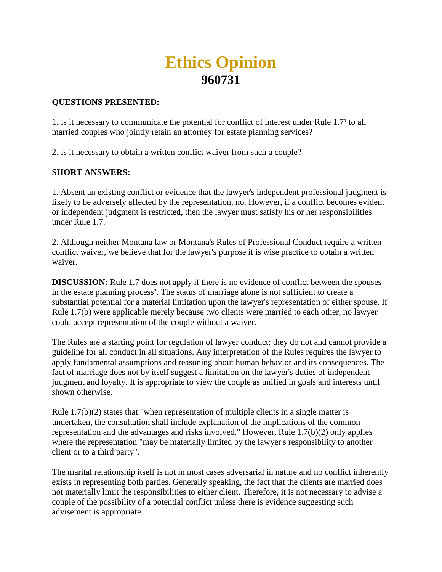# **Ethics Opinion 960731**

### **QUESTIONS PRESENTED:**

1. Is it necessary to communicate the potential for conflict of interest under Rule 1.7<sup>1</sup> to all married couples who jointly retain an attorney for estate planning services?

2. Is it necessary to obtain a written conflict waiver from such a couple?

# **SHORT ANSWERS:**

1. Absent an existing conflict or evidence that the lawyer's independent professional judgment is likely to be adversely affected by the representation, no. However, if a conflict becomes evident or independent judgment is restricted, then the lawyer must satisfy his or her responsibilities under Rule 1.7.

2. Although neither Montana law or Montana's Rules of Professional Conduct require a written conflict waiver, we believe that for the lawyer's purpose it is wise practice to obtain a written waiver.

**DISCUSSION:** Rule 1.7 does not apply if there is no evidence of conflict between the spouses in the estate planning process². The status of marriage alone is not sufficient to create a substantial potential for a material limitation upon the lawyer's representation of either spouse. If Rule 1.7(b) were applicable merely because two clients were married to each other, no lawyer could accept representation of the couple without a waiver.

The Rules are a starting point for regulation of lawyer conduct; they do not and cannot provide a guideline for all conduct in all situations. Any interpretation of the Rules requires the lawyer to apply fundamental assumptions and reasoning about human behavior and its consequences. The fact of marriage does not by itself suggest a limitation on the lawyer's duties of independent judgment and loyalty. It is appropriate to view the couple as unified in goals and interests until shown otherwise.

Rule 1.7(b)(2) states that "when representation of multiple clients in a single matter is undertaken, the consultation shall include explanation of the implications of the common representation and the advantages and risks involved." However, Rule 1.7(b)(2) only applies where the representation "may be materially limited by the lawyer's responsibility to another client or to a third party".

The marital relationship itself is not in most cases adversarial in nature and no conflict inherently exists in representing both parties. Generally speaking, the fact that the clients are married does not materially limit the responsibilities to either client. Therefore, it is not necessary to advise a couple of the possibility of a potential conflict unless there is evidence suggesting such advisement is appropriate.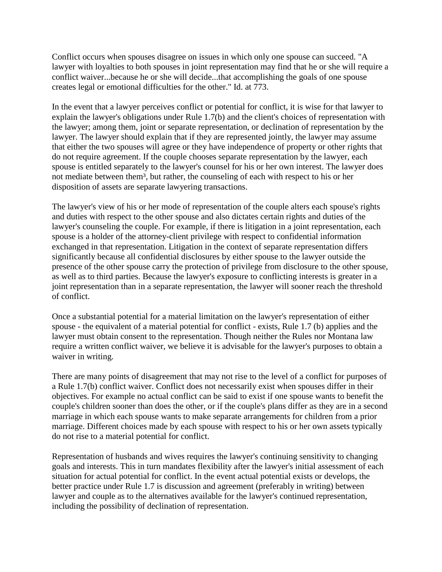Conflict occurs when spouses disagree on issues in which only one spouse can succeed. "A lawyer with loyalties to both spouses in joint representation may find that he or she will require a conflict waiver...because he or she will decide...that accomplishing the goals of one spouse creates legal or emotional difficulties for the other." Id. at 773.

In the event that a lawyer perceives conflict or potential for conflict, it is wise for that lawyer to explain the lawyer's obligations under Rule 1.7(b) and the client's choices of representation with the lawyer; among them, joint or separate representation, or declination of representation by the lawyer. The lawyer should explain that if they are represented jointly, the lawyer may assume that either the two spouses will agree or they have independence of property or other rights that do not require agreement. If the couple chooses separate representation by the lawyer, each spouse is entitled separately to the lawyer's counsel for his or her own interest. The lawyer does not mediate between them<sup>3</sup>, but rather, the counseling of each with respect to his or her disposition of assets are separate lawyering transactions.

The lawyer's view of his or her mode of representation of the couple alters each spouse's rights and duties with respect to the other spouse and also dictates certain rights and duties of the lawyer's counseling the couple. For example, if there is litigation in a joint representation, each spouse is a holder of the attorney-client privilege with respect to confidential information exchanged in that representation. Litigation in the context of separate representation differs significantly because all confidential disclosures by either spouse to the lawyer outside the presence of the other spouse carry the protection of privilege from disclosure to the other spouse, as well as to third parties. Because the lawyer's exposure to conflicting interests is greater in a joint representation than in a separate representation, the lawyer will sooner reach the threshold of conflict.

Once a substantial potential for a material limitation on the lawyer's representation of either spouse - the equivalent of a material potential for conflict - exists, Rule 1.7 (b) applies and the lawyer must obtain consent to the representation. Though neither the Rules nor Montana law require a written conflict waiver, we believe it is advisable for the lawyer's purposes to obtain a waiver in writing.

There are many points of disagreement that may not rise to the level of a conflict for purposes of a Rule 1.7(b) conflict waiver. Conflict does not necessarily exist when spouses differ in their objectives. For example no actual conflict can be said to exist if one spouse wants to benefit the couple's children sooner than does the other, or if the couple's plans differ as they are in a second marriage in which each spouse wants to make separate arrangements for children from a prior marriage. Different choices made by each spouse with respect to his or her own assets typically do not rise to a material potential for conflict.

Representation of husbands and wives requires the lawyer's continuing sensitivity to changing goals and interests. This in turn mandates flexibility after the lawyer's initial assessment of each situation for actual potential for conflict. In the event actual potential exists or develops, the better practice under Rule 1.7 is discussion and agreement (preferably in writing) between lawyer and couple as to the alternatives available for the lawyer's continued representation, including the possibility of declination of representation.